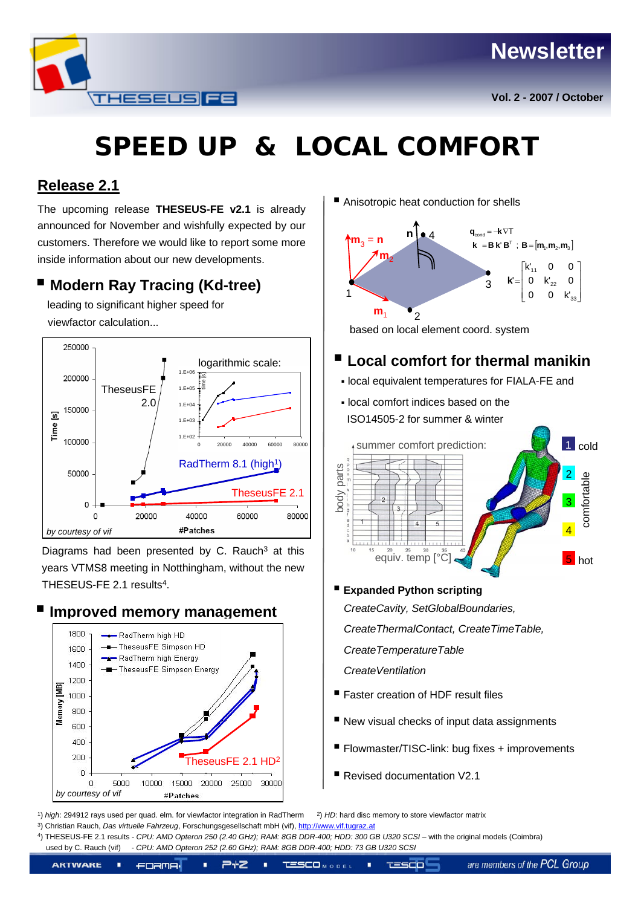## **Newsletter**



# **SPEED UP & LOCAL COMFORT**

### **Release 2.1**

The upcoming release **THESEUS-FE v2.1** is already announced for November and wishfully expected by our customers. Therefore we would like to report some more inside information about our new developments.

## **Modern Ray Tracing (Kd-tree)**

leading to significant higher speed for viewfactor calculation...



Diagrams had been presented by C. Rauch $3$  at this years VTMS8 meeting in Notthingham, without the new THESEUS-FE 2.1 results<sup>4</sup>



**Improved memory management**

■ Anisotropic heat conduction for shells



based on local element coord. system

## **Local comfort for thermal manikin**

- local equivalent temperatures for FIALA-FE and
- local comfort indices based on the ISO14505-2 for summer & winter



**Expanded Python scripting** 

*CreateCavity, SetGlobalBoundaries, CreateThermalContact, CreateTimeTable, CreateTemperatureTable CreateVentilation*

- Faster creation of HDF result files
- New visual checks of input data assignments
- Flowmaster/TISC-link: bug fixes + improvements
- Revised documentation V2.1

1) *high*: 294912 rays used per quad. elm. for viewfactor integration in RadTherm 2) *HD*: hard disc memory to store viewfactor matrix

3) Christian Rauch, *Das virtuelle Fahrzeug*, Forschungsgesellschaft mbH (vif), [http://www.vif.tugraz.at](http://www.vif.tugraz.at/)

4) THESEUS-FE 2.1 results - *CPU: AMD Opteron 250 (2.40 GHz); RAM: 8GB DDR-400; HDD: 300 GB U320 SCSI* – with the original models (Coimbra) used by C. Rauch (vif) - *CPU: AMD Opteron 252 (2.60 GHz); RAM: 8GB DDR-400; HDD: 73 GB U320 SCSI*